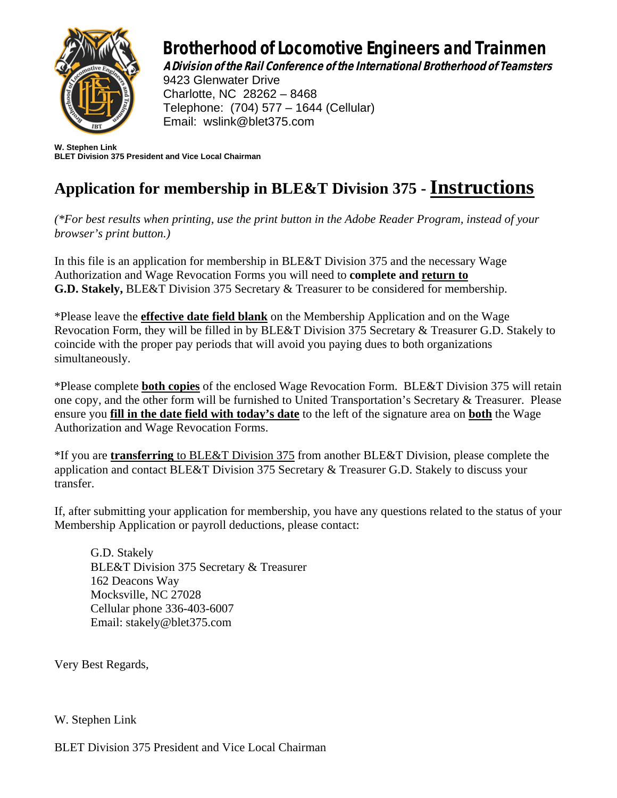

## Brotherhood of Locomotive Engineers and Trainmen

A Division of the Rail Conference of the International Brotherhood of Teamsters

9423 Glenwater Drive Charlotte, NC 28262 – 8468 Telephone: (704) 577 – 1644 (Cellular) Email: [wslink@blet375.com](mailto:wslink@blet375.com)

**W. Stephen Link BLET Division 375 President and Vice Local Chairman** 

### **Application for membership in BLE&T Division 375 - Instructions**

*(\*For best results when printing, use the print button in the Adobe Reader Program, instead of your browser's print button.)*

In this file is an application for membership in BLE&T Division 375 and the necessary Wage Authorization and Wage Revocation Forms you will need to **complete and return to G.D. Stakely,** BLE&T Division 375 Secretary & Treasurer to be considered for membership.

\*Please leave the **effective date field blank** on the Membership Application and on the Wage Revocation Form, they will be filled in by BLE&T Division 375 Secretary & Treasurer G.D. Stakely to coincide with the proper pay periods that will avoid you paying dues to both organizations simultaneously.

\*Please complete **both copies** of the enclosed Wage Revocation Form. BLE&T Division 375 will retain one copy, and the other form will be furnished to United Transportation's Secretary & Treasurer. Please ensure you **fill in the date field with today's date** to the left of the signature area on **both** the Wage Authorization and Wage Revocation Forms.

\*If you are **transferring** to BLE&T Division 375 from another BLE&T Division, please complete the application and contact BLE&T Division 375 Secretary & Treasurer G.D. Stakely to discuss your transfer.

If, after submitting your application for membership, you have any questions related to the status of your Membership Application or payroll deductions, please contact:

G.D. Stakely BLE&T Division 375 Secretary & Treasurer 162 Deacons Way Mocksville, NC 27028 Cellular phone 336-403-6007 Email: stakely@blet375.com

Very Best Regards,

W. Stephen Link

BLET Division 375 President and Vice Local Chairman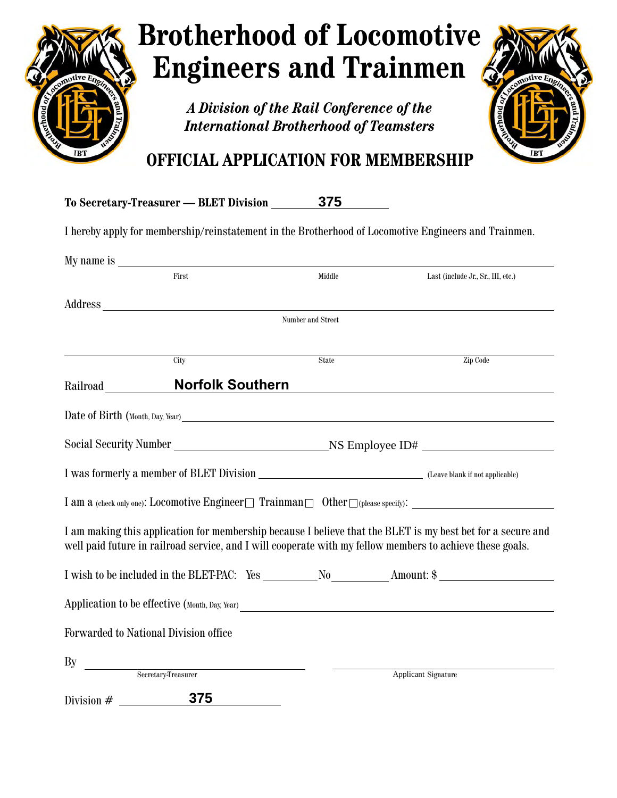

# **Brotherhood of Locomotive Engineers and Trainmen**

*A Division of the Rail Conference of the International Brotherhood of Teamsters*



### **OFFICIAL APPLICATION FOR MEMBERSHIP**

|              | To Secretary-Treasurer — BLET Division                                                                                                                                                                                         | 375                      |                                                                                                                                                                                                                          |
|--------------|--------------------------------------------------------------------------------------------------------------------------------------------------------------------------------------------------------------------------------|--------------------------|--------------------------------------------------------------------------------------------------------------------------------------------------------------------------------------------------------------------------|
|              |                                                                                                                                                                                                                                |                          | I hereby apply for membership/reinstatement in the Brotherhood of Locomotive Engineers and Trainmen.                                                                                                                     |
|              |                                                                                                                                                                                                                                |                          |                                                                                                                                                                                                                          |
|              | First                                                                                                                                                                                                                          | Middle                   | Last (include Jr., Sr., III, etc.)                                                                                                                                                                                       |
|              | Address and the contract of the contract of the contract of the contract of the contract of the contract of the contract of the contract of the contract of the contract of the contract of the contract of the contract of th |                          |                                                                                                                                                                                                                          |
|              |                                                                                                                                                                                                                                | <b>Number and Street</b> |                                                                                                                                                                                                                          |
|              | City                                                                                                                                                                                                                           | State                    | Zip Code                                                                                                                                                                                                                 |
| Railroad     | <b>Norfolk Southern</b>                                                                                                                                                                                                        |                          |                                                                                                                                                                                                                          |
|              |                                                                                                                                                                                                                                |                          |                                                                                                                                                                                                                          |
|              |                                                                                                                                                                                                                                |                          |                                                                                                                                                                                                                          |
|              |                                                                                                                                                                                                                                |                          |                                                                                                                                                                                                                          |
|              |                                                                                                                                                                                                                                |                          | I am a (check only one): Locomotive Engineer $\Box$ Trainman $\Box$ Other $\Box$ (please specify):                                                                                                                       |
|              |                                                                                                                                                                                                                                |                          | I am making this application for membership because I believe that the BLET is my best bet for a secure and<br>well paid future in railroad service, and I will cooperate with my fellow members to achieve these goals. |
|              |                                                                                                                                                                                                                                |                          |                                                                                                                                                                                                                          |
|              |                                                                                                                                                                                                                                |                          | Application to be effective (Month, Day, Year) __________________________________                                                                                                                                        |
|              | Forwarded to National Division office                                                                                                                                                                                          |                          |                                                                                                                                                                                                                          |
| By           | Secretary-Treasurer                                                                                                                                                                                                            |                          | Applicant Signature                                                                                                                                                                                                      |
| Division $#$ | 375                                                                                                                                                                                                                            |                          |                                                                                                                                                                                                                          |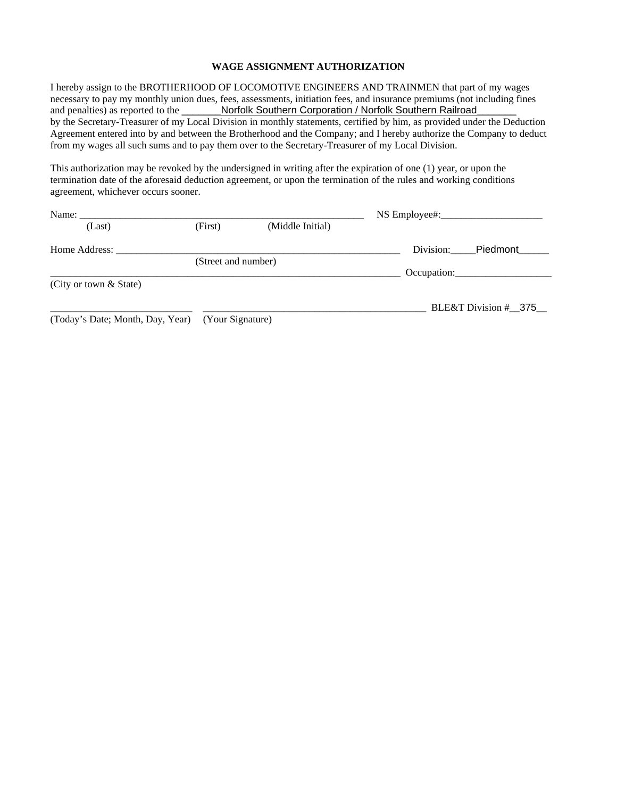#### **WAGE ASSIGNMENT AUTHORIZATION**

I hereby assign to the BROTHERHOOD OF LOCOMOTIVE ENGINEERS AND TRAINMEN that part of my wages necessary to pay my monthly union dues, fees, assessments, initiation fees, and insurance premiums (not including fines and penalties) as reported to the \_\_\_\_\_\_\_Norfolk Southern Corporation / Norfolk Southern Railroad by the Secretary-Treasurer of my Local Division in monthly statements, certified by him, as provided under the Deduction Agreement entered into by and between the Brotherhood and the Company; and I hereby authorize the Company to deduct from my wages all such sums and to pay them over to the Secretary-Treasurer of my Local Division.

This authorization may be revoked by the undersigned in writing after the expiration of one (1) year, or upon the termination date of the aforesaid deduction agreement, or upon the termination of the rules and working conditions agreement, whichever occurs sooner.

| Name: $\_\_$                     |                     |                  | $NS$ Employee#:       |
|----------------------------------|---------------------|------------------|-----------------------|
| (Last)                           | (First)             | (Middle Initial) |                       |
| Home Address:                    |                     |                  | Division:<br>Piedmont |
|                                  | (Street and number) |                  |                       |
|                                  |                     |                  | Occupation:           |
| (City or town & State)           |                     |                  |                       |
|                                  |                     |                  | BLE&T Division # 375  |
| (Today's Date; Month, Day, Year) | (Your Signature)    |                  |                       |